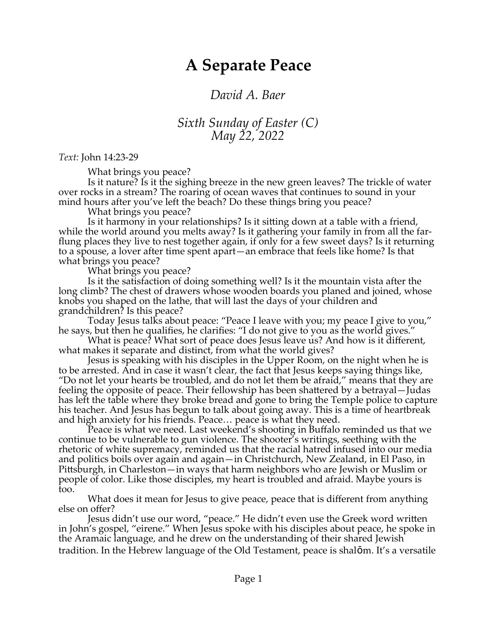## **A Separate Peace**

## *David A. Baer*

## *Sixth Sunday of Easter (C) May 22, 2022*

*Text:* John 14:23-29

What brings you peace?

Is it nature? Is it the sighing breeze in the new green leaves? The trickle of water over rocks in a stream? The roaring of ocean waves that continues to sound in your mind hours after you've left the beach? Do these things bring you peace?

What brings you peace?

Is it harmony in your relationships? Is it sitting down at a table with a friend, while the world around you melts away? Is it gathering your family in from all the farflung places they live to nest together again, if only for a few sweet days? Is it returning to a spouse, a lover after time spent apart—an embrace that feels like home? Is that what brings you peace?

What brings you peace?

Is it the satisfaction of doing something well? Is it the mountain vista after the long climb? The chest of drawers whose wooden boards you planed and joined, whose knobs you shaped on the lathe, that will last the days of your children and grandchildren? Is this peace?

Today Jesus talks about peace: "Peace I leave with you; my peace I give to you," he says, but then he qualifies, he clarifies: "I do not give to you as the world gives."

What is peace? What sort of peace does Jesus leave us? And how is it different, what makes it separate and distinct, from what the world gives?

Jesus is speaking with his disciples in the Upper Room, on the night when he is to be arrested. And in case it wasn't clear, the fact that Jesus keeps saying things like, "Do not let your hearts be troubled, and do not let them be afraid," means that they are feeling the opposite of peace. Their fellowship has been shattered by a betrayal—Judas has left the table where they broke bread and gone to bring the Temple police to capture his teacher. And Jesus has begun to talk about going away. This is a time of heartbreak and high anxiety for his friends. Peace… peace is what they need.

Peace is what we need. Last weekend's shooting in Buffalo reminded us that we continue to be vulnerable to gun violence. The shooter's writings, seething with the rhetoric of white supremacy, reminded us that the racial hatred infused into our media and politics boils over again and again—in Christchurch, New Zealand, in El Paso, in Pittsburgh, in Charleston—in ways that harm neighbors who are Jewish or Muslim or people of color. Like those disciples, my heart is troubled and afraid. Maybe yours is too.

What does it mean for Jesus to give peace, peace that is different from anything else on offer?

Jesus didn't use our word, "peace." He didn't even use the Greek word written in John's gospel, "eirene." When Jesus spoke with his disciples about peace, he spoke in the Aramaic language, and he drew on the understanding of their shared Jewish tradition. In the Hebrew language of the Old Testament, peace is shalōm. It's a versatile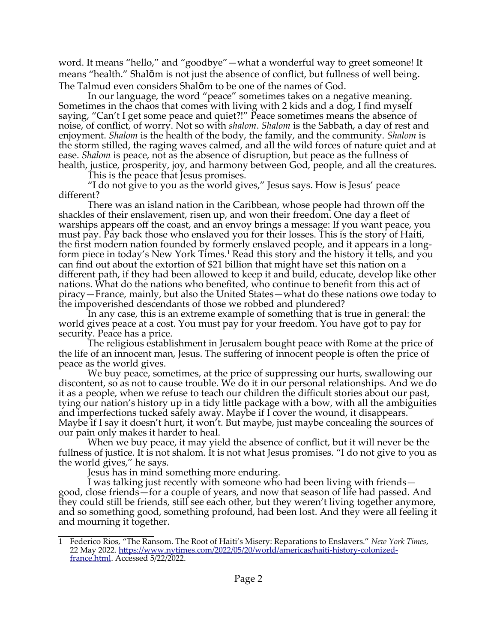word. It means "hello," and "goodbye"—what a wonderful way to greet someone! It means "health." Shalōm is not just the absence of conflict, but fullness of well being. The Talmud even considers Shalōm to be one of the names of God.

In our language, the word "peace" sometimes takes on a negative meaning. Sometimes in the chaos that comes with living with 2 kids and a dog, I find myself saying, "Can't I get some peace and quiet?!" Peace sometimes means the absence of noise, of conflict, of worry. Not so with *shalom*. *Shalom* is the Sabbath, a day of rest and enjoyment. *Shalom* is the health of the body, the family, and the community. *Shalom* is the storm stilled, the raging waves calmed, and all the wild forces of nature quiet and at ease. *Shalom* is peace, not as the absence of disruption, but peace as the fullness of health, justice, prosperity, joy, and harmony between God, people, and all the creatures.

<span id="page-1-0"></span>This is the peace that Jesus promises.

"I do not give to you as the world gives," Jesus says. How is Jesus' peace different?

There was an island nation in the Caribbean, whose people had thrown off the shackles of their enslavement, risen up, and won their freedom. One day a fleet of warships appears off the coast, and an envoy brings a message: If you want peace, you must pay. Pay back those who enslaved you for their losses. This is the story of Haiti, the first modern nation founded by formerly enslaved people, and it appears in a long-form piece in today's New York Times.<sup>[1](#page-1-1)</sup> Read this story and the history it tells, and you can find out about the extortion of \$21 billion that might have set this nation on a different path, if they had been allowed to keep it and build, educate, develop like other nations. What do the nations who benefited, who continue to benefit from this act of piracy—France, mainly, but also the United States—what do these nations owe today to the impoverished descendants of those we robbed and plundered?

In any case, this is an extreme example of something that is true in general: the world gives peace at a cost. You must pay for your freedom. You have got to pay for security. Peace has a price.

The religious establishment in Jerusalem bought peace with Rome at the price of the life of an innocent man, Jesus. The suffering of innocent people is often the price of peace as the world gives.

We buy peace, sometimes, at the price of suppressing our hurts, swallowing our discontent, so as not to cause trouble. We do it in our personal relationships. And we do it as a people, when we refuse to teach our children the difficult stories about our past, tying our nation's history up in a tidy little package with a bow, with all the ambiguities and imperfections tucked safely away. Maybe if I cover the wound, it disappears. Maybe if I say it doesn't hurt, it won't. But maybe, just maybe concealing the sources of our pain only makes it harder to heal.

When we buy peace, it may yield the absence of conflict, but it will never be the fullness of justice. It is not shalom. It is not what Jesus promises. "I do not give to you as the world gives," he says.

Jesus has in mind something more enduring.

I was talking just recently with someone who had been living with friends good, close friends—for a couple of years, and now that season of life had passed. And they could still be friends, still see each other, but they weren't living together anymore, and so something good, something profound, had been lost. And they were all feeling it and mourning it together.

<span id="page-1-1"></span>[<sup>1</sup>](#page-1-0) Federico Rios, "The Ransom. The Root of Haiti's Misery: Reparations to Enslavers." *New York Times*, 22 May 2022. [https://www.nytimes.com/2022/05/20/world/americas/haiti-history-colonized](https://www.nytimes.com/2022/05/20/world/americas/haiti-history-colonized-france.html)[france.html.](https://www.nytimes.com/2022/05/20/world/americas/haiti-history-colonized-france.html) Accessed 5/22/2022.